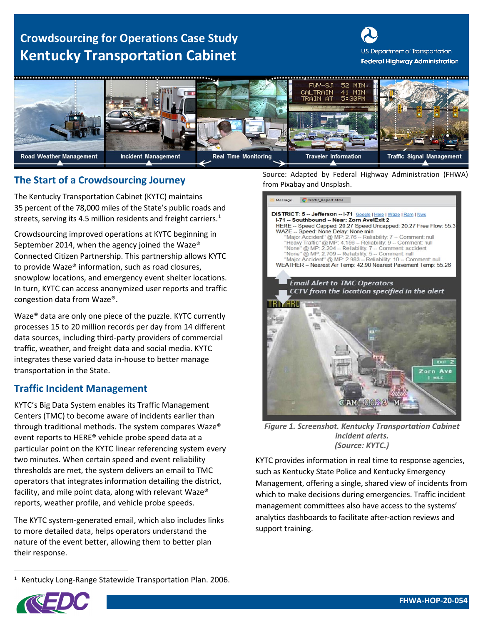# **Crowdsourcing for Operations Case Study Kentucky Transportation Cabinet**





# **The Start of a Crowdsourcing Journey The Start of a Crowdsourcing Journey The Start of a Crowdsourcing Journey**

The Kentucky Transportation Cabinet (KYTC) maintains 35 percent of the 78,000 miles of the State's public roads and streets, serving its 4.5 million residents and freight carriers.<sup>[1](#page-0-0)</sup>

Crowdsourcing improved operations at KYTC beginning in September 2014, when the agency joined the Waze® Connected Citizen Partnership. This partnership allows KYTC to provide Waze® information, such as road closures, snowplow locations, and emergency event shelter locations. In turn, KYTC can access anonymized user reports and traffic congestion data from Waze®.

Waze® data are only one piece of the puzzle. KYTC currently processes 15 to 20 million records per day from 14 different data sources, including third-party providers of commercial traffic, weather, and freight data and social media. KYTC integrates these varied data in-house to better manage transportation in the State.

## **Traffic Incident Management**

KYTC's Big Data System enables its Traffic Management Centers (TMC) to become aware of incidents earlier than through traditional methods. The system compares Waze® event reports to HERE® vehicle probe speed data at a particular point on the KYTC linear referencing system every two minutes. When certain speed and event reliability thresholds are met, the system delivers an email to TMC operators that integrates information detailing the district, facility, and mile point data, along with relevant Waze® reports, weather profile, and vehicle probe speeds.

The KYTC system-generated email, which also includes links to more detailed data, helps operators understand the nature of the event better, allowing them to better plan their response.

<span id="page-0-0"></span><sup>1</sup> Kentucky Long-Range Statewide Transportation Plan. 2006.

Source: Adapted by Federal Highway Administration (FHWA)



*Figure 1. Screenshot. Kentucky Transportation Cabinet incident alerts. (Source: KYTC.)* 

KYTC provides information in real time to response agencies, such as Kentucky State Police and Kentucky Emergency Management, offering a single, shared view of incidents from which to make decisions during emergencies. Traffic incident management committees also have access to the systems' analytics dashboards to facilitate after-action reviews and support training.